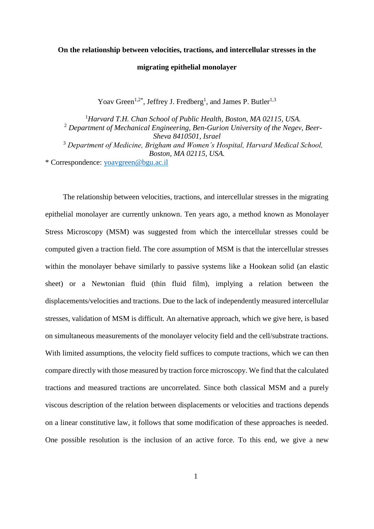## **On the relationship between velocities, tractions, and intercellular stresses in the**

#### **migrating epithelial monolayer**

Yoav Green<sup>1,2\*</sup>, Jeffrey J. Fredberg<sup>1</sup>, and James P. Butler<sup>1,3</sup>

<sup>1</sup>*Harvard T.H. Chan School of Public Health, Boston, MA 02115, USA.* <sup>2</sup> *Department of Mechanical Engineering, Ben-Gurion University of the Negev, Beer-Sheva 8410501, Israel* <sup>3</sup> *Department of Medicine, Brigham and Women's Hospital, Harvard Medical School, Boston, MA 02115, USA.* \* Correspondence: [yoavgreen@bgu.ac.il](mailto:yoavgreen@bgu.ac.il)

The relationship between velocities, tractions, and intercellular stresses in the migrating epithelial monolayer are currently unknown. Ten years ago, a method known as Monolayer Stress Microscopy (MSM) was suggested from which the intercellular stresses could be computed given a traction field. The core assumption of MSM is that the intercellular stresses within the monolayer behave similarly to passive systems like a Hookean solid (an elastic sheet) or a Newtonian fluid (thin fluid film), implying a relation between the displacements/velocities and tractions. Due to the lack of independently measured intercellular stresses, validation of MSM is difficult. An alternative approach, which we give here, is based on simultaneous measurements of the monolayer velocity field and the cell/substrate tractions. With limited assumptions, the velocity field suffices to compute tractions, which we can then compare directly with those measured by traction force microscopy. We find that the calculated tractions and measured tractions are uncorrelated. Since both classical MSM and a purely viscous description of the relation between displacements or velocities and tractions depends on a linear constitutive law, it follows that some modification of these approaches is needed. One possible resolution is the inclusion of an active force. To this end, we give a new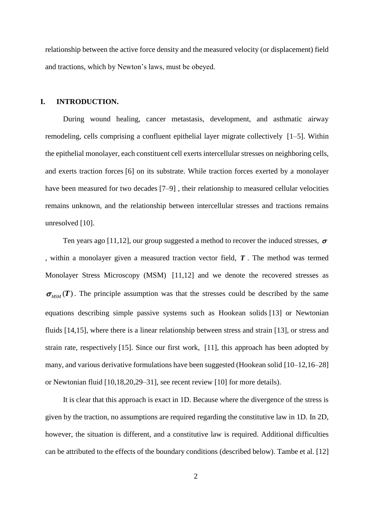relationship between the active force density and the measured velocity (or displacement) field and tractions, which by Newton's laws, must be obeyed.

## **I. INTRODUCTION.**

During wound healing, cancer metastasis, development, and asthmatic airway remodeling, cells comprising a confluent epithelial layer migrate collectively [1–5]. Within the epithelial monolayer, each constituent cell exerts intercellular stresses on neighboring cells, and exerts traction forces [6] on its substrate. While traction forces exerted by a monolayer have been measured for two decades [7–9], their relationship to measured cellular velocities remains unknown, and the relationship between intercellular stresses and tractions remains unresolved [10].

Ten years ago [11,12], our group suggested a method to recover the induced stresses,  $\sigma$ , within a monolayer given a measured traction vector field, *<sup>T</sup>* . The method was termed Monolayer Stress Microscopy (MSM) [11,12] and we denote the recovered stresses as  $\sigma_{MSM}(T)$ . The principle assumption was that the stresses could be described by the same equations describing simple passive systems such as Hookean solids [13] or Newtonian fluids [14,15], where there is a linear relationship between stress and strain [13], or stress and strain rate, respectively [15]. Since our first work, [11], this approach has been adopted by many, and various derivative formulations have been suggested (Hookean solid [10–12,16–28] or Newtonian fluid [10,18,20,29–31], see recent review [10] for more details).

It is clear that this approach is exact in 1D. Because where the divergence of the stress is given by the traction, no assumptions are required regarding the constitutive law in 1D. In 2D, however, the situation is different, and a constitutive law is required. Additional difficulties can be attributed to the effects of the boundary conditions (described below). Tambe et al. [12]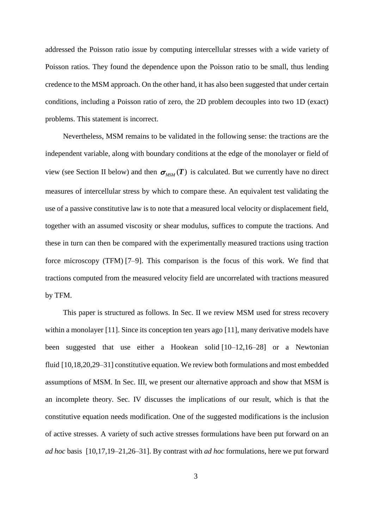addressed the Poisson ratio issue by computing intercellular stresses with a wide variety of Poisson ratios. They found the dependence upon the Poisson ratio to be small, thus lending credence to the MSM approach. On the other hand, it has also been suggested that under certain conditions, including a Poisson ratio of zero, the 2D problem decouples into two 1D (exact) problems. This statement is incorrect.

Nevertheless, MSM remains to be validated in the following sense: the tractions are the independent variable, along with boundary conditions at the edge of the monolayer or field of view (see Section [II](#page-3-0) below) and then  $\sigma_{MSM}(T)$  is calculated. But we currently have no direct measures of intercellular stress by which to compare these. An equivalent test validating the use of a passive constitutive law is to note that a measured local velocity or displacement field, together with an assumed viscosity or shear modulus, suffices to compute the tractions. And these in turn can then be compared with the experimentally measured tractions using traction force microscopy (TFM) [7–9]. This comparison is the focus of this work. We find that tractions computed from the measured velocity field are uncorrelated with tractions measured by TFM.

This paper is structured as follows. In Sec. [II](#page-3-0) we review MSM used for stress recovery within a monolayer [11]. Since its conception ten years ago [11], many derivative models have been suggested that use either a Hookean solid [10–12,16–28] or a Newtonian fluid [10,18,20,29–31] constitutive equation. We review both formulations and most embedded assumptions of MSM. In Sec. [III,](#page-11-0) we present our alternative approach and show that MSM is an incomplete theory. Sec. [IV](#page-17-0) discusses the implications of our result, which is that the constitutive equation needs modification. One of the suggested modifications is the inclusion of active stresses. A variety of such active stresses formulations have been put forward on an *ad hoc* basis [10,17,19–21,26–31]. By contrast with *ad hoc* formulations, here we put forward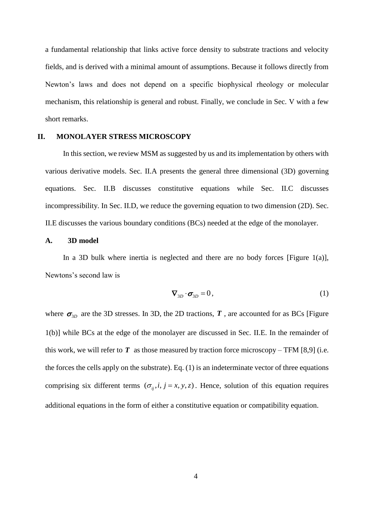a fundamental relationship that links active force density to substrate tractions and velocity fields, and is derived with a minimal amount of assumptions. Because it follows directly from Newton's laws and does not depend on a specific biophysical rheology or molecular mechanism, this relationship is general and robust. Finally, we conclude in Sec. [V](#page-20-0) with a few short remarks.

### <span id="page-3-0"></span>**II. MONOLAYER STRESS MICROSCOPY**

In this section, we review MSM as suggested by us and its implementation by others with various derivative models. Sec. [II.](#page-3-0)[A](#page-3-1) presents the general three dimensional (3D) governing equations. Sec. [II.](#page-3-0)[B](#page-4-0) discusses constitutive equations while Sec. [II.](#page-3-0)[C](#page-6-0) discusses incompressibility. In Sec. [II.](#page-3-0)[D,](#page-6-1) we reduce the governing equation to two dimension (2D). Sec. [II.](#page-3-0)[E](#page-8-0) discusses the various boundary conditions (BCs) needed at the edge of the monolayer.

#### <span id="page-3-1"></span>**A. 3D model**

In a 3D bulk where inertia is neglected and there are no body forces [\[Figure 1\(](#page-4-1)a)], Newtons's second law is

$$
\nabla_{3D} \cdot \sigma_{3D} = 0, \qquad (1)
$$

where  $\sigma_{3D}$  are the 3D stresses. In 3D, the 2D tractions, *T*, are accounted for as BCs [Figure [1\(](#page-4-1)b)] while BCs at the edge of the monolayer are discussed in Sec. [II.](#page-3-0)[E.](#page-8-0) In the remainder of this work, we will refer to  $T$  as those measured by traction force microscopy – TFM [8,9] (i.e. the forces the cells apply on the substrate). Eq. (1) is an indeterminate vector of three equations comprising six different terms  $(\sigma_{ij}, i, j = x, y, z)$ . Hence, solution of this equation requires additional equations in the form of either a constitutive equation or compatibility equation.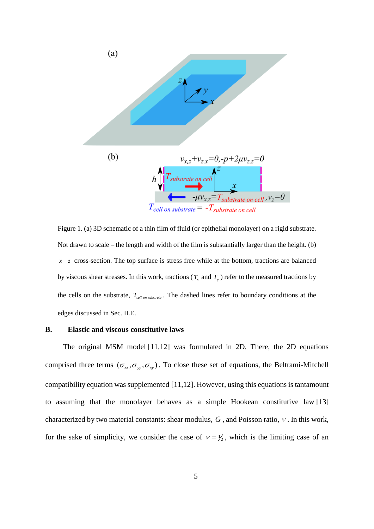

<span id="page-4-1"></span>Figure 1. (a) 3D schematic of a thin film of fluid (or epithelial monolayer) on a rigid substrate. Not drawn to scale – the length and width of the film is substantially larger than the height. (b)  $x - z$  cross-section. The top surface is stress free while at the bottom, tractions are balanced by viscous shear stresses. In this work, tractions ( $T_x$  and  $T_y$ ) refer to the measured tractions by the cells on the substrate,  $T_{cell\ on\ substrate}$ . The dashed lines refer to boundary conditions at the edges discussed in Sec. [II.](#page-3-0)[E.](#page-8-0)

#### <span id="page-4-0"></span>**B. Elastic and viscous constitutive laws**

The original MSM model [11,12] was formulated in 2D. There, the 2D equations comprised three terms  $(\sigma_x, \sigma_y, \sigma_x)$ . To close these set of equations, the Beltrami-Mitchell compatibility equation was supplemented [11,12]. However, using this equations is tantamount to assuming that the monolayer behaves as a simple Hookean constitutive law [13] characterized by two material constants: shear modulus,  $G$ , and Poisson ratio,  $\nu$ . In this work, for the sake of simplicity, we consider the case of  $v = \frac{1}{2}$ , which is the limiting case of an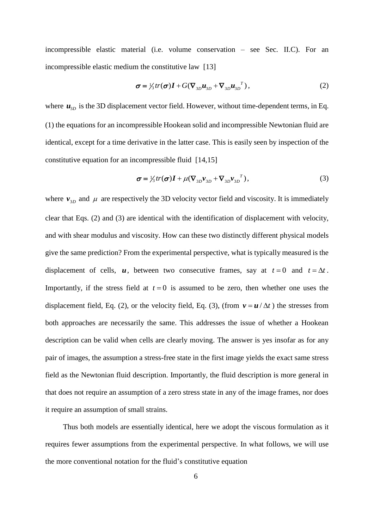incompressible elastic material (i.e. volume conservation – see Sec. [II](#page-3-0)[.C\)](#page-6-0). For an incompressible elastic medium the constitutive law [13]

$$
\sigma = \frac{1}{3} tr(\sigma) \mathbf{I} + G(\nabla_{3D} u_{3D} + \nabla_{3D} u_{3D}^{T}), \qquad (2)
$$

where  $\mathbf{u}_{3D}$  is the 3D displacement vector field. However, without time-dependent terms, in Eq. (1) the equations for an incompressible Hookean solid and incompressible Newtonian fluid are identical, except for a time derivative in the latter case. This is easily seen by inspection of the constitutive equation for an incompressible fluid [14,15]

$$
\boldsymbol{\sigma} = \frac{1}{3} tr(\boldsymbol{\sigma}) \boldsymbol{I} + \mu (\nabla_{3D} \boldsymbol{v}_{3D} + \nabla_{3D} \boldsymbol{v}_{3D}^{T}),
$$
\n(3)

where  $v_{3D}$  and  $\mu$  are respectively the 3D velocity vector field and viscosity. It is immediately clear that Eqs. (2) and (3) are identical with the identification of displacement with velocity, and with shear modulus and viscosity. How can these two distinctly different physical models give the same prediction? From the experimental perspective, what is typically measured is the displacement of cells,  $u$ , between two consecutive frames, say at  $t = 0$  and  $t = \Delta t$ . Importantly, if the stress field at  $t = 0$  is assumed to be zero, then whether one uses the displacement field, Eq. (2), or the velocity field, Eq. (3), (from  $v = u / \Delta t$ ) the stresses from both approaches are necessarily the same. This addresses the issue of whether a Hookean description can be valid when cells are clearly moving. The answer is yes insofar as for any pair of images, the assumption a stress-free state in the first image yields the exact same stress field as the Newtonian fluid description. Importantly, the fluid description is more general in that does not require an assumption of a zero stress state in any of the image frames, nor does it require an assumption of small strains.

Thus both models are essentially identical, here we adopt the viscous formulation as it requires fewer assumptions from the experimental perspective. In what follows, we will use the more conventional notation for the fluid's constitutive equation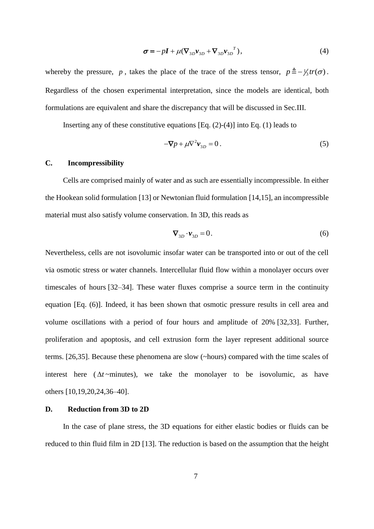$$
\boldsymbol{\sigma} = -p\boldsymbol{I} + \mu(\nabla_{3D} \boldsymbol{v}_{3D} + \nabla_{3D} \boldsymbol{v}_{3D}^{T}),
$$
\n(4)

whereby the pressure, p, takes the place of the trace of the stress tensor,  $p = -\frac{1}{3}tr(\sigma)$ . Regardless of the chosen experimental interpretation, since the models are identical, both formulations are equivalent and share the discrepancy that will be discussed in Sec[.III.](#page-11-0)

Inserting any of these constitutive equations  $[Eq. (2)-(4)]$  into Eq. (1) leads to

$$
-\nabla p + \mu \nabla^2 \mathbf{v}_{3D} = 0. \tag{5}
$$

## <span id="page-6-0"></span>**C. Incompressibility**

Cells are comprised mainly of water and as such are essentially incompressible. In either the Hookean solid formulation [13] or Newtonian fluid formulation [14,15], an incompressible material must also satisfy volume conservation. In 3D, this reads as

$$
\nabla_{3D} \cdot \mathbf{v}_{3D} = 0. \tag{6}
$$

Nevertheless, cells are not isovolumic insofar water can be transported into or out of the cell via osmotic stress or water channels. Intercellular fluid flow within a monolayer occurs over timescales of hours [32–34]. These water fluxes comprise a source term in the continuity equation [Eq. (6)]. Indeed, it has been shown that osmotic pressure results in cell area and volume oscillations with a period of four hours and amplitude of 20% [32,33]. Further, proliferation and apoptosis, and cell extrusion form the layer represent additional source terms. [26,35]. Because these phenomena are slow (~hours) compared with the time scales of interest here  $(\Delta t \sim \text{minutes})$ , we take the monolayer to be isovolumic, as have others [10,19,20,24,36–40].

## <span id="page-6-1"></span>**D. Reduction from 3D to 2D**

In the case of plane stress, the 3D equations for either elastic bodies or fluids can be reduced to thin fluid film in 2D [13]. The reduction is based on the assumption that the height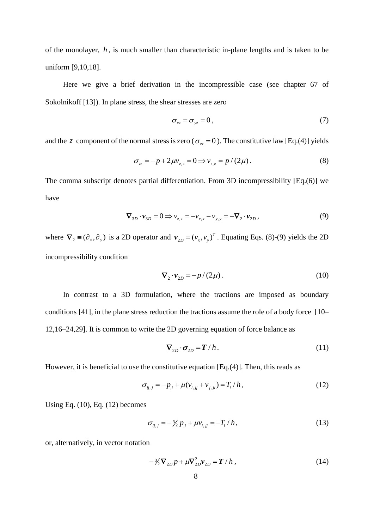of the monolayer, *h* , is much smaller than characteristic in-plane lengths and is taken to be uniform [9,10,18].

Here we give a brief derivation in the incompressible case (see chapter 67 of Sokolnikoff [13]). In plane stress, the shear stresses are zero

$$
\sigma_{xz} = \sigma_{yz} = 0 \,, \tag{7}
$$

and the z component of the normal stress is zero ( $\sigma_{zz} = 0$ ). The constitutive law [Eq.(4)] yields

$$
\sigma_{zz} = -p + 2\mu v_{z,z} = 0 \Longrightarrow v_{z,z} = p/(2\mu). \tag{8}
$$

The comma subscript denotes partial differentiation. From 3D incompressibility [Eq.(6)] we have

$$
\nabla_{3D} \cdot \mathbf{v}_{3D} = 0 \Longrightarrow \nu_{z,z} = -\nu_{x,x} - \nu_{y,y} = -\nabla_2 \cdot \mathbf{v}_{2D},
$$
\n(9)

where  $\nabla_2 \equiv (\partial_x, \partial_y)$  is a 2D operator and  $\nu_{2D} = (\nu_x, \nu_y)^T$ . Equating Eqs. (8)-(9) yields the 2D incompressibility condition

$$
\nabla_2 \cdot \mathbf{v}_{2D} = -p/(2\mu) \,. \tag{10}
$$

In contrast to a 3D formulation, where the tractions are imposed as boundary conditions [41], in the plane stress reduction the tractions assume the role of a body force [10– 12,16–24,29]. It is common to write the 2D governing equation of force balance as

$$
\nabla_{2D} \cdot \sigma_{2D} = T/h. \tag{11}
$$

However, it is beneficial to use the constitutive equation [Eq.(4)]. Then, this reads as

$$
\sigma_{ij,j} = -p_{,i} + \mu(v_{i,j} + v_{j,j}) = T_i / h, \qquad (12)
$$

Using Eq.  $(10)$ , Eq.  $(12)$  becomes

$$
\sigma_{ij,j} = -\frac{3}{2} p_{,i} + \mu v_{i,jj} = -T_i / h, \qquad (13)
$$

or, alternatively, in vector notation

$$
-\frac{3}{2}\nabla_{2D}p + \mu \nabla_{2D}^2 \mathbf{v}_{2D} = \mathbf{T} / h , \qquad (14)
$$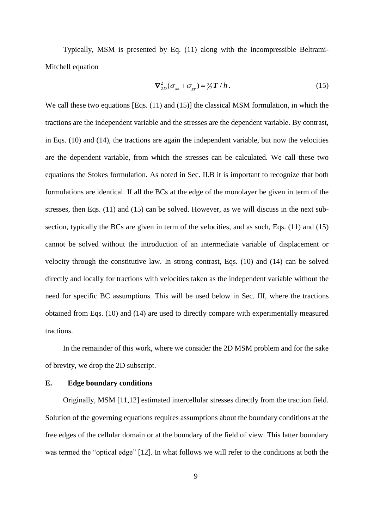Typically, MSM is presented by Eq. (11) along with the incompressible Beltrami-Mitchell equation

$$
\nabla_{2D}^2(\sigma_{xx} + \sigma_{yy}) = \frac{3}{2}T/h. \tag{15}
$$

We call these two equations [Eqs. (11) and (15)] the classical MSM formulation, in which the tractions are the independent variable and the stresses are the dependent variable. By contrast, in Eqs. (10) and (14), the tractions are again the independent variable, but now the velocities are the dependent variable, from which the stresses can be calculated. We call these two equations the Stokes formulation. As noted in Sec. [II](#page-3-0)[.B](#page-4-0) it is important to recognize that both formulations are identical. If all the BCs at the edge of the monolayer be given in term of the stresses, then Eqs. (11) and (15) can be solved. However, as we will discuss in the next subsection, typically the BCs are given in term of the velocities, and as such, Eqs. (11) and (15) cannot be solved without the introduction of an intermediate variable of displacement or velocity through the constitutive law. In strong contrast, Eqs. (10) and (14) can be solved directly and locally for tractions with velocities taken as the independent variable without the need for specific BC assumptions. This will be used below in Sec. [III,](#page-11-0) where the tractions obtained from Eqs. (10) and (14) are used to directly compare with experimentally measured tractions.

In the remainder of this work, where we consider the 2D MSM problem and for the sake of brevity, we drop the 2D subscript.

#### <span id="page-8-0"></span>**E. Edge boundary conditions**

Originally, MSM [11,12] estimated intercellular stresses directly from the traction field. Solution of the governing equations requires assumptions about the boundary conditions at the free edges of the cellular domain or at the boundary of the field of view. This latter boundary was termed the "optical edge" [12]. In what follows we will refer to the conditions at both the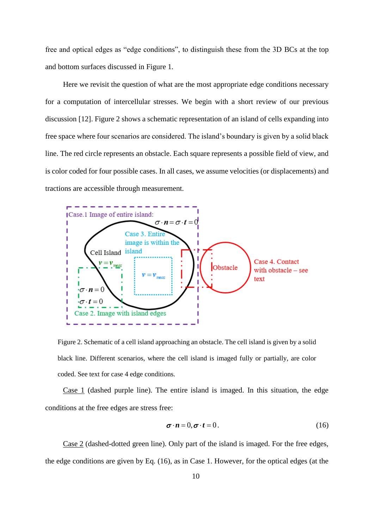free and optical edges as "edge conditions", to distinguish these from the 3D BCs at the top and bottom surfaces discussed in [Figure 1.](#page-4-1)

Here we revisit the question of what are the most appropriate edge conditions necessary for a computation of intercellular stresses. We begin with a short review of our previous discussion [12]. [Figure 2](#page-9-0) shows a schematic representation of an island of cells expanding into free space where four scenarios are considered. The island's boundary is given by a solid black line. The red circle represents an obstacle. Each square represents a possible field of view, and is color coded for four possible cases. In all cases, we assume velocities (or displacements) and tractions are accessible through measurement.



<span id="page-9-0"></span>Figure 2. Schematic of a cell island approaching an obstacle. The cell island is given by a solid black line. Different scenarios, where the cell island is imaged fully or partially, are color coded. See text for case 4 edge conditions.

Case 1 (dashed purple line). The entire island is imaged. In this situation, the edge conditions at the free edges are stress free:

$$
\boldsymbol{\sigma} \cdot \boldsymbol{n} = 0, \boldsymbol{\sigma} \cdot \boldsymbol{t} = 0. \tag{16}
$$

Case 2 (dashed-dotted green line). Only part of the island is imaged. For the free edges, the edge conditions are given by Eq. (16), as in Case 1. However, for the optical edges (at the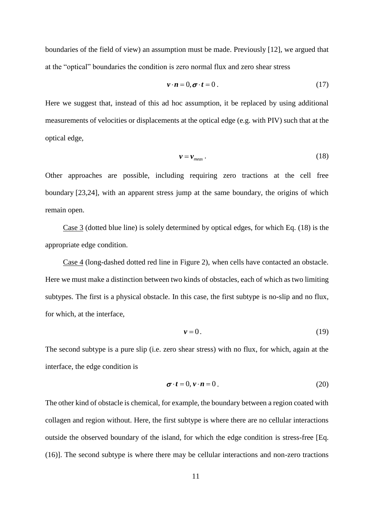boundaries of the field of view) an assumption must be made. Previously [12], we argued that at the "optical" boundaries the condition is zero normal flux and zero shear stress

$$
\mathbf{v} \cdot \mathbf{n} = 0, \boldsymbol{\sigma} \cdot \boldsymbol{t} = 0. \tag{17}
$$

Here we suggest that, instead of this ad hoc assumption, it be replaced by using additional measurements of velocities or displacements at the optical edge (e.g. with PIV) such that at the optical edge,

$$
\mathbf{v} = \mathbf{v}_{\text{meas}} \,. \tag{18}
$$

Other approaches are possible, including requiring zero tractions at the cell free boundary [23,24], with an apparent stress jump at the same boundary, the origins of which remain open.

Case 3 (dotted blue line) is solely determined by optical edges, for which Eq. (18) is the appropriate edge condition.

Case 4 (long-dashed dotted red line in [Figure 2\)](#page-9-0), when cells have contacted an obstacle. Here we must make a distinction between two kinds of obstacles, each of which as two limiting subtypes. The first is a physical obstacle. In this case, the first subtype is no-slip and no flux, for which, at the interface,

$$
v = 0. \tag{19}
$$

The second subtype is a pure slip (i.e. zero shear stress) with no flux, for which, again at the interface, the edge condition is

$$
\boldsymbol{\sigma} \cdot \boldsymbol{t} = 0, \boldsymbol{v} \cdot \boldsymbol{n} = 0. \tag{20}
$$

The other kind of obstacle is chemical, for example, the boundary between a region coated with collagen and region without. Here, the first subtype is where there are no cellular interactions outside the observed boundary of the island, for which the edge condition is stress-free [Eq. (16)]. The second subtype is where there may be cellular interactions and non-zero tractions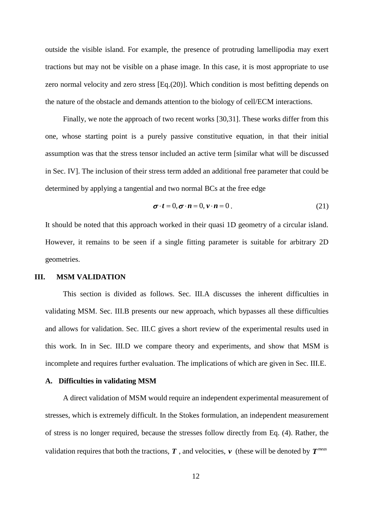outside the visible island. For example, the presence of protruding lamellipodia may exert tractions but may not be visible on a phase image. In this case, it is most appropriate to use zero normal velocity and zero stress [Eq.(20)]. Which condition is most befitting depends on the nature of the obstacle and demands attention to the biology of cell/ECM interactions.

Finally, we note the approach of two recent works [30,31]. These works differ from this one, whose starting point is a purely passive constitutive equation, in that their initial assumption was that the stress tensor included an active term [similar what will be discussed in Sec. [IV\]](#page-17-0). The inclusion of their stress term added an additional free parameter that could be determined by applying a tangential and two normal BCs at the free edge

$$
\boldsymbol{\sigma} \cdot \boldsymbol{t} = 0, \boldsymbol{\sigma} \cdot \boldsymbol{n} = 0, \boldsymbol{v} \cdot \boldsymbol{n} = 0. \tag{21}
$$

It should be noted that this approach worked in their quasi 1D geometry of a circular island. However, it remains to be seen if a single fitting parameter is suitable for arbitrary 2D geometries.

#### <span id="page-11-0"></span>**III. MSM VALIDATION**

This section is divided as follows. Sec. [III](#page-11-0)[.A](#page-11-1) discusses the inherent difficulties in validating MSM. Sec. [III.](#page-11-0)B presents our new approach, which bypasses all these difficulties and allows for validation. Sec. [III.](#page-11-0)[C](#page-13-0) gives a short review of the experimental results used in this work. In in Sec. [III.](#page-11-0)D we compare theory and experiments, and show that MSM is incomplete and requires further evaluation. The implications of which are given in Sec. [III.](#page-11-0)E.

### <span id="page-11-1"></span>**A. Difficulties in validating MSM**

A direct validation of MSM would require an independent experimental measurement of stresses, which is extremely difficult. In the Stokes formulation, an independent measurement of stress is no longer required, because the stresses follow directly from Eq. (4). Rather, the validation requires that both the tractions,  $T$ , and velocities,  $\nu$  (these will be denoted by  $T^{meas}$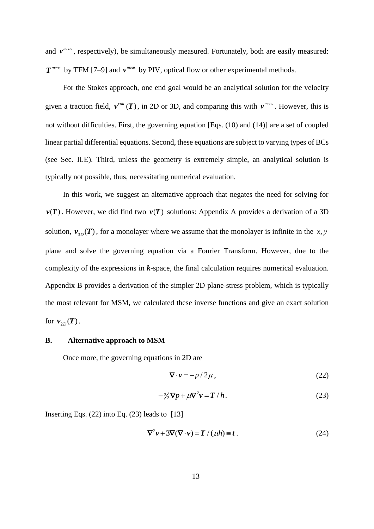and  $v^{meas}$ , respectively), be simultaneously measured. Fortunately, both are easily measured:  $T^{meas}$  by TFM [7–9] and  $v^{meas}$  by PIV, optical flow or other experimental methods.

For the Stokes approach, one end goal would be an analytical solution for the velocity given a traction field,  $v^{calc}(T)$ , in 2D or 3D, and comparing this with  $v^{meas}$ . However, this is not without difficulties. First, the governing equation [Eqs. (10) and (14)] are a set of coupled linear partial differential equations. Second, these equations are subject to varying types of BCs (see Sec. [II.](#page-3-0)[E\)](#page-8-0). Third, unless the geometry is extremely simple, an analytical solution is typically not possible, thus, necessitating numerical evaluation.

In this work, we suggest an alternative approach that negates the need for solving for  $v(T)$ . However, we did find two  $v(T)$  solutions: Appendix A provides a derivation of a 3D solution,  $v_{3D}(T)$ , for a monolayer where we assume that the monolayer is infinite in the x, y plane and solve the governing equation via a Fourier Transform. However, due to the complexity of the expressions in *k*-space, the final calculation requires numerical evaluation. Appendix B provides a derivation of the simpler 2D plane-stress problem, which is typically the most relevant for MSM, we calculated these inverse functions and give an exact solution for  $v_{2D}(T)$ .

### **B. Alternative approach to MSM**

Once more, the governing equations in 2D are

$$
\nabla \cdot \mathbf{v} = -p/2\mu \,,\tag{22}
$$

$$
-\frac{\lambda}{2}\nabla p + \mu \nabla^2 v = T/h. \tag{23}
$$

Inserting Eqs.  $(22)$  into Eq.  $(23)$  leads to  $[13]$ 

$$
\nabla^2 v + 3\nabla(\nabla \cdot v) = T / (\mu h) \equiv t . \tag{24}
$$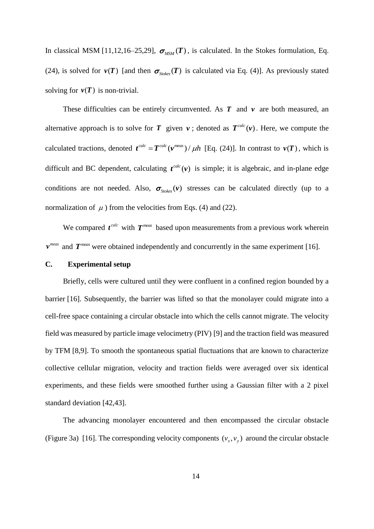In classical MSM [11,12,16–25,29],  $\sigma_{MSM}(T)$ , is calculated. In the Stokes formulation, Eq. (24), is solved for  $v(T)$  [and then  $\sigma_{\text{Stokes}}(T)$  is calculated via Eq. (4)]. As previously stated solving for  $v(T)$  is non-trivial.

These difficulties can be entirely circumvented. As  $T$  and  $\nu$  are both measured, an alternative approach is to solve for T given  $v$ ; denoted as  $T^{calc}(v)$ . Here, we compute the calculated tractions, denoted  $t^{calc} = T^{calc}(v^{meas}) / \mu h$  [Eq. (24)]. In contrast to  $v(T)$ , which is difficult and BC dependent, calculating  $t^{calc}(v)$  is simple; it is algebraic, and in-plane edge conditions are not needed. Also,  $\sigma_{\text{Stokes}}(\nu)$  stresses can be calculated directly (up to a normalization of  $\mu$ ) from the velocities from Eqs. (4) and (22).

We compared  $t^{calc}$  with  $T^{meas}$  based upon measurements from a previous work wherein  $v^{meas}$  and  $T^{meas}$  were obtained independently and concurrently in the same experiment [16].

### <span id="page-13-0"></span>**C. Experimental setup**

Briefly, cells were cultured until they were confluent in a confined region bounded by a barrier [16]. Subsequently, the barrier was lifted so that the monolayer could migrate into a cell-free space containing a circular obstacle into which the cells cannot migrate. The velocity field was measured by particle image velocimetry (PIV) [9] and the traction field was measured by TFM [8,9]. To smooth the spontaneous spatial fluctuations that are known to characterize collective cellular migration, velocity and traction fields were averaged over six identical experiments, and these fields were smoothed further using a Gaussian filter with a 2 pixel standard deviation [42,43].

The advancing monolayer encountered and then encompassed the circular obstacle [\(Figure 3a](#page-14-0)) [16]. The corresponding velocity components  $(v_x, v_y)$  around the circular obstacle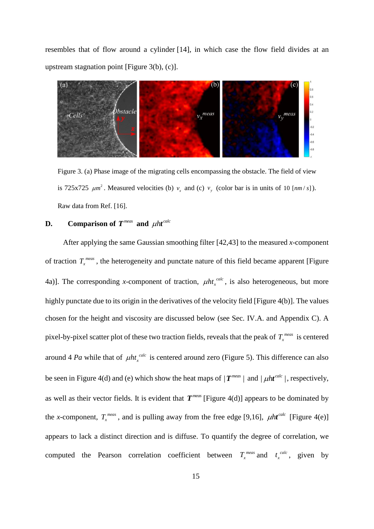resembles that of flow around a cylinder [14], in which case the flow field divides at an upstream stagnation point [\[Figure 3\(](#page-14-0)b), (c)].



<span id="page-14-0"></span>Figure 3. (a) Phase image of the migrating cells encompassing the obstacle. The field of view is 725x725  $\mu$ m<sup>2</sup>. Measured velocities (b)  $v_x$  and (c)  $v_y$  (color bar is in units of 10 [nm/s]). Raw data from Ref. [16].

## **D. Comparison of**  $T^{meas}$  **and**  $\mu$ **ht**<sup>calc</sup>

After applying the same Gaussian smoothing filter [42,43] to the measured *x*-component of traction  $T_x^{meas}$ , the heterogeneity and punctate nature of this field became apparent [Figure [4a](#page-15-0))]. The corresponding *x*-component of traction,  $\mu h t_x^{calc}$ , is also heterogeneous, but more highly punctate due to its origin in the derivatives of the velocity field [\[Figure 4\(](#page-15-0)b)]. The values chosen for the height and viscosity are discussed below (see Sec. [IV.](#page-17-0)[A.](#page-18-0) and Appendix C). A pixel-by-pixel scatter plot of these two traction fields, reveals that the peak of  $T_{x}^{meas}$  is centered around 4 *Pa* while that of  $\mu h t_{x}^{calc}$  is centered around zero [\(Figure 5\)](#page-16-0). This difference can also be seen in [Figure 4\(](#page-15-0)d) and (e) which show the heat maps of  $|T^{meas}|$  and  $| \mu h t^{calc}|$ , respectively, as well as their vector fields. It is evident that  $T^{meas}$  [\[Figure 4\(](#page-15-0)d)] appears to be dominated by the *x*-component,  $T_x^{\text{meas}}$ , and is pulling away from the free edge [9,16],  $\mu h t^{\text{calc}}$  [\[Figure 4\(](#page-15-0)e)] appears to lack a distinct direction and is diffuse. To quantify the degree of correlation, we computed the Pearson correlation coefficient between  $T_x^{meas}$  and  $t_x^{calc}$  $t_x^{calc}$ , given by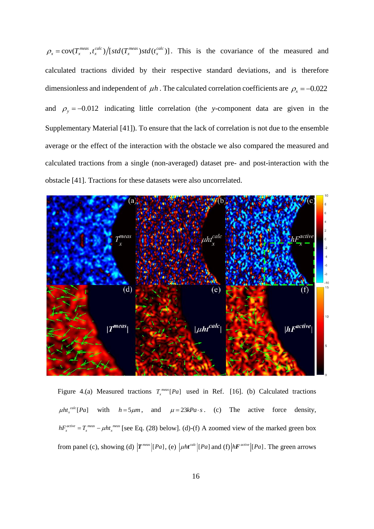$\rho_x = \text{cov}(T_x^{meas}, t_x^{calc})/[\text{std}(T_x^{meas}) \text{std}(t_x^{calc})]$ . This is the covariance of the measured and calculated tractions divided by their respective standard deviations, and is therefore dimensionless and independent of  $\mu h$ . The calculated correlation coefficients are  $\rho_x = -0.022$ and  $\rho_y = -0.012$  indicating little correlation (the *y*-component data are given in the Supplementary Material [41]). To ensure that the lack of correlation is not due to the ensemble average or the effect of the interaction with the obstacle we also compared the measured and calculated tractions from a single (non-averaged) dataset pre- and post-interaction with the obstacle [41]. Tractions for these datasets were also uncorrelated.



<span id="page-15-0"></span>Figure 4.(a) Measured tractions  $T_x^{\text{meas}}[Pa]$  used in Ref. [16]. (b) Calculated tractions  $\mu h t_x^{calc}[Pa]$  with  $h = 5\mu m$ , and  $\mu = 23kPa \cdot s$ . (c) The active force density,  $hF_x^{active} = T_x^{meas} - \mu h t_x^{meas}$  [see Eq. (28) below]. (d)-(f) A zoomed view of the marked green box from panel (c), showing (d)  $T^{meas}$  [*Pa*], (e)  $\mu h t^{calc}$  [*Pa*] and (f)  $\mu F^{active}$  [*Pa*]. The green arrows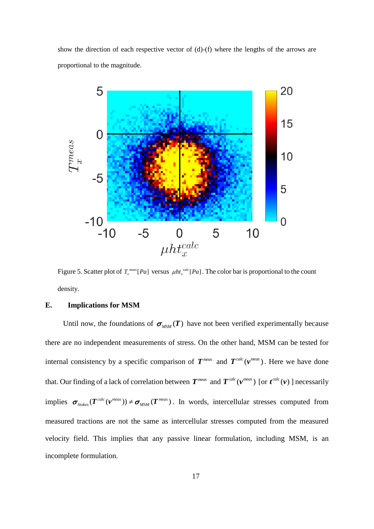show the direction of each respective vector of (d)-(f) where the lengths of the arrows are proportional to the magnitude.



<span id="page-16-0"></span>Figure 5. Scatter plot of  $T_x^{meas}$  [Pa] versus  $\mu h t_x^{calc}$  [Pa]. The color bar is proportional to the count density.

### **E. Implications for MSM**

Until now, the foundations of  $\sigma_{MSM}(T)$  have not been verified experimentally because there are no independent measurements of stress. On the other hand, MSM can be tested for internal consistency by a specific comparison of  $T^{meas}$  and  $T^{calc}(v^{meas})$ . Here we have done that. Our finding of a lack of correlation between  $T^{meas}$  and  $T^{calc}(v^{meas})$  [or  $t^{calc}(v)$ ] necessarily implies  $\sigma_{\text{Stokes}}(T^{\text{calc}}(\nu^{\text{meas}})) \neq \sigma_{\text{MSM}}(T^{\text{meas}})$ . In words, intercellular stresses computed from measured tractions are not the same as intercellular stresses computed from the measured velocity field. This implies that any passive linear formulation, including MSM, is an incomplete formulation.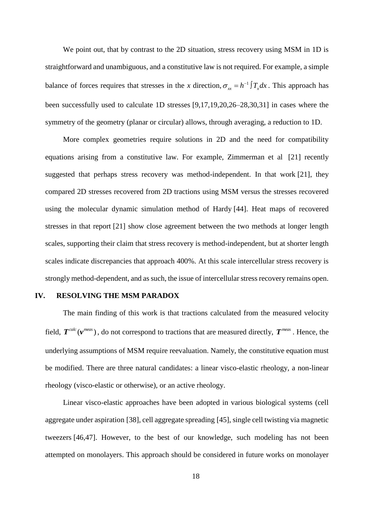We point out, that by contrast to the 2D situation, stress recovery using MSM in 1D is straightforward and unambiguous, and a constitutive law is not required. For example, a simple balance of forces requires that stresses in the *x* direction,  $\sigma_{xx} = h^{-1} \int T_x dx$ . This approach has been successfully used to calculate 1D stresses [9,17,19,20,26–28,30,31] in cases where the symmetry of the geometry (planar or circular) allows, through averaging, a reduction to 1D.

More complex geometries require solutions in 2D and the need for compatibility equations arising from a constitutive law. For example, Zimmerman et al [21] recently suggested that perhaps stress recovery was method-independent. In that work [21], they compared 2D stresses recovered from 2D tractions using MSM versus the stresses recovered using the molecular dynamic simulation method of Hardy [44]. Heat maps of recovered stresses in that report [21] show close agreement between the two methods at longer length scales, supporting their claim that stress recovery is method-independent, but at shorter length scales indicate discrepancies that approach 400%. At this scale intercellular stress recovery is strongly method-dependent, and as such, the issue of intercellular stress recovery remains open.

### <span id="page-17-0"></span>**IV. RESOLVING THE MSM PARADOX**

The main finding of this work is that tractions calculated from the measured velocity field,  $T^{calc}(\mathbf{v}^{meas})$ , do not correspond to tractions that are measured directly,  $T^{meas}$ . Hence, the underlying assumptions of MSM require reevaluation. Namely, the constitutive equation must be modified. There are three natural candidates: a linear visco-elastic rheology, a non-linear rheology (visco-elastic or otherwise), or an active rheology.

Linear visco-elastic approaches have been adopted in various biological systems (cell aggregate under aspiration [38], cell aggregate spreading [45], single cell twisting via magnetic tweezers [46,47]. However, to the best of our knowledge, such modeling has not been attempted on monolayers. This approach should be considered in future works on monolayer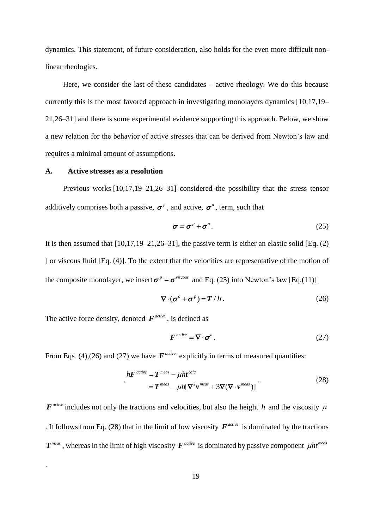dynamics. This statement, of future consideration, also holds for the even more difficult nonlinear rheologies.

Here, we consider the last of these candidates – active rheology. We do this because currently this is the most favored approach in investigating monolayers dynamics [10,17,19– 21,26–31] and there is some experimental evidence supporting this approach. Below, we show a new relation for the behavior of active stresses that can be derived from Newton's law and requires a minimal amount of assumptions.

### <span id="page-18-0"></span>**A. Active stresses as a resolution**

Previous works [10,17,19–21,26–31] considered the possibility that the stress tensor additively comprises both a passive,  $\sigma^p$ , and active,  $\sigma^a$ , term, such that

$$
\boldsymbol{\sigma} = \boldsymbol{\sigma}^p + \boldsymbol{\sigma}^a. \tag{25}
$$

It is then assumed that  $[10,17,19-21,26-31]$ , the passive term is either an elastic solid [Eq. (2) ] or viscous fluid [Eq. (4)]. To the extent that the velocities are representative of the motion of the composite monolayer, we insert  $\sigma^p = \sigma^{viscous}$  and Eq. (25) into Newton's law [Eq.(11)]

$$
\nabla \cdot (\boldsymbol{\sigma}^a + \boldsymbol{\sigma}^p) = \boldsymbol{T} / h. \tag{26}
$$

The active force density, denoted  $F^{active}$ , is defined as

.

$$
\boldsymbol{F}^{active} = \nabla \cdot \boldsymbol{\sigma}^a. \tag{27}
$$

From Eqs. (4),(26) and (27) we have  $\boldsymbol{F}^{active}$  explicitly in terms of measured quantities:

$$
hF^{active} = T^{meas} - \mu h t^{calc}
$$
  
=  $T^{meas} - \mu h [\nabla^2 \mathbf{v}^{meas} + 3\nabla (\nabla \cdot \mathbf{v}^{meas})]$ 

 $F<sup>active</sup>$  includes not only the tractions and velocities, but also the height h and the viscosity  $\mu$ . It follows from Eq. (28) that in the limit of low viscosity  $F^{active}$  is dominated by the tractions  $T^{meas}$  , whereas in the limit of high viscosity  $F^{active}$  is dominated by passive component  $\mu h t^{meas}$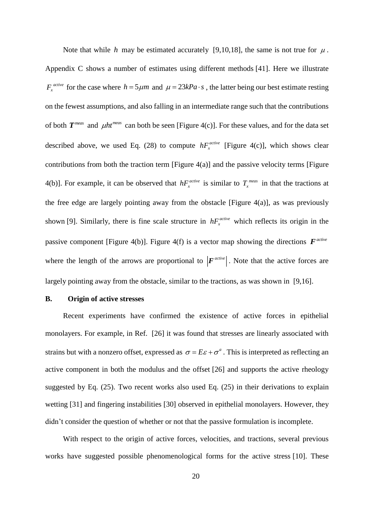Note that while h may be estimated accurately [9,10,18], the same is not true for  $\mu$ . Appendix C shows a number of estimates using different methods [41]. Here we illustrate  $F_x^{active}$  for the case where  $h = 5 \mu m$  and  $\mu = 23kPa \cdot s$ , the latter being our best estimate resting on the fewest assumptions, and also falling in an intermediate range such that the contributions of both  $T^{meas}$  and  $\mu$ ht<sup>meas</sup> can both be seen [\[Figure 4\(](#page-15-0)c)]. For these values, and for the data set described above, we used Eq.  $(28)$  to compute  $hF_r^{active}$  $hF<sub>x</sub><sup>active</sup>$  [\[Figure 4\(](#page-15-0)c)], which shows clear contributions from both the traction term [\[Figure 4\(](#page-15-0)a)] and the passive velocity terms [\[Figure](#page-15-0)  [4\(](#page-15-0)b)]. For example, it can be observed that  $hF_r^{active}$  $hF_x^{active}$  is similar to  $T_x^{meas}$  in that the tractions at the free edge are largely pointing away from the obstacle [\[Figure 4\(](#page-15-0)a)], as was previously shown [9]. Similarly, there is fine scale structure in  $hF_r^{active}$  $hF<sub>x</sub><sup>active</sup>$  which reflects its origin in the passive component [\[Figure 4\(](#page-15-0)b)]. [Figure 4\(](#page-15-0)f) is a vector map showing the directions  $\boldsymbol{F}^{active}$ where the length of the arrows are proportional to  $|F^{active}|$ . Note that the active forces are largely pointing away from the obstacle, similar to the tractions, as was shown in [9,16].

## **B. Origin of active stresses**

Recent experiments have confirmed the existence of active forces in epithelial monolayers. For example, in Ref. [26] it was found that stresses are linearly associated with strains but with a nonzero offset, expressed as  $\sigma = E\varepsilon + \sigma^a$ . This is interpreted as reflecting an active component in both the modulus and the offset [26] and supports the active rheology suggested by Eq. (25). Two recent works also used Eq. (25) in their derivations to explain wetting [31] and fingering instabilities [30] observed in epithelial monolayers. However, they didn't consider the question of whether or not that the passive formulation is incomplete.

With respect to the origin of active forces, velocities, and tractions, several previous works have suggested possible phenomenological forms for the active stress [10]. These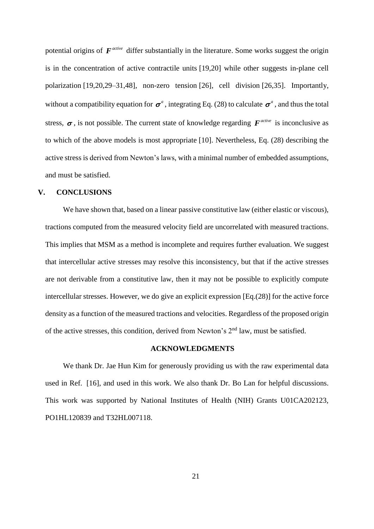potential origins of  $F^{active}$  differ substantially in the literature. Some works suggest the origin is in the concentration of active contractile units [19,20] while other suggests in-plane cell polarization [19,20,29–31,48], non-zero tension [26], cell division [26,35]. Importantly, without a compatibility equation for  $\sigma^a$ , integrating Eq. (28) to calculate  $\sigma^a$ , and thus the total stress,  $\sigma$ , is not possible. The current state of knowledge regarding  $F^{active}$  is inconclusive as to which of the above models is most appropriate [10]. Nevertheless, Eq. (28) describing the active stress is derived from Newton's laws, with a minimal number of embedded assumptions, and must be satisfied.

### <span id="page-20-0"></span>**V. CONCLUSIONS**

We have shown that, based on a linear passive constitutive law (either elastic or viscous), tractions computed from the measured velocity field are uncorrelated with measured tractions. This implies that MSM as a method is incomplete and requires further evaluation. We suggest that intercellular active stresses may resolve this inconsistency, but that if the active stresses are not derivable from a constitutive law, then it may not be possible to explicitly compute intercellular stresses. However, we do give an explicit expression [Eq.(28)] for the active force density as a function of the measured tractions and velocities. Regardless of the proposed origin of the active stresses, this condition, derived from Newton's 2nd law, must be satisfied.

## **ACKNOWLEDGMENTS**

We thank Dr. Jae Hun Kim for generously providing us with the raw experimental data used in Ref. [16], and used in this work. We also thank Dr. Bo Lan for helpful discussions. This work was supported by National Institutes of Health (NIH) Grants U01CA202123, PO1HL120839 and T32HL007118.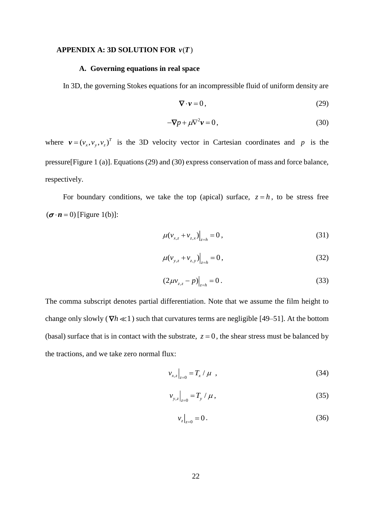### **APPENDIX** A: 3D SOLUTION FOR  $v(T)$

### **A. Governing equations in real space**

In 3D, the governing Stokes equations for an incompressible fluid of uniform density are

$$
\nabla \cdot \mathbf{v} = 0, \tag{29}
$$

$$
-\nabla p + \mu \nabla^2 \mathbf{v} = 0,\tag{30}
$$

where  $v = (v_x, v_y, v_z)^T$  is the 3D velocity vector in Cartesian coordinates and p is the pressure[\[Figure 1](#page-4-1) (a)]. Equations (29) and (30) express conservation of mass and force balance, respectively.

For boundary conditions, we take the top (apical) surface,  $z = h$ , to be stress free  $(\boldsymbol{\sigma} \cdot \boldsymbol{n} = 0)$  [\[Figure 1\(](#page-4-1)b)]:

$$
\mu(v_{x,z} + v_{z,x})\Big|_{z=h} = 0, \tag{31}
$$

$$
\mu(v_{y,z} + v_{z,y})\Big|_{z=h} = 0, \tag{32}
$$

$$
(2\mu v_{z,z} - p)\Big|_{z=h} = 0.
$$
\n(33)

The comma subscript denotes partial differentiation. Note that we assume the film height to change only slowly ( $\nabla h \ll 1$ ) such that curvatures terms are negligible [49–51]. At the bottom (basal) surface that is in contact with the substrate,  $z = 0$ , the shear stress must be balanced by the tractions, and we take zero normal flux:

$$
v_{x,z}\Big|_{z=0} = T_x / \mu \quad , \tag{34}
$$

$$
v_{y,z}\Big|_{z=0} = T_y / \mu \,, \tag{35}
$$

$$
v_z\big|_{z=0} = 0. \tag{36}
$$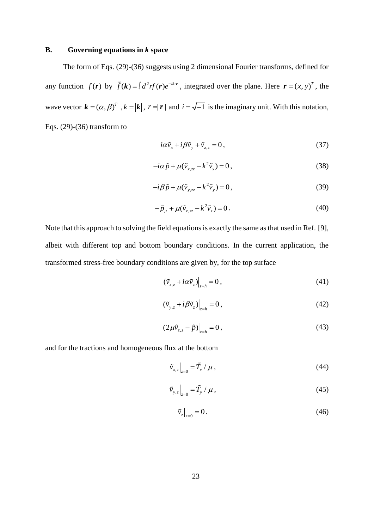## **B. Governing equations in** *k* **space**

The form of Eqs. (29)-(36) suggests using 2 dimensional Fourier transforms, defined for any function  $f(\mathbf{r})$  by  $\tilde{f}(\mathbf{k}) = \int d^2r f(\mathbf{r})e^{-i\mathbf{k}\cdot\mathbf{r}}$ , integrated over the plane. Here  $\mathbf{r} = (x, y)^T$ , the wave vector  $\mathbf{k} = (\alpha, \beta)^T$ ,  $k = |\mathbf{k}|$ ,  $r = |\mathbf{r}|$  and  $i = \sqrt{-1}$  is the imaginary unit. With this notation, Eqs. (29)-(36) transform to

$$
i\alpha \tilde{v}_x + i\beta \tilde{v}_y + \tilde{v}_{z,z} = 0, \qquad (37)
$$

$$
-i\alpha \tilde{p} + \mu(\tilde{v}_{x,zz} - k^2 \tilde{v}_x) = 0, \qquad (38)
$$

$$
-i\beta \tilde{p} + \mu(\tilde{v}_{y,zz} - k^2 \tilde{v}_y) = 0, \qquad (39)
$$

$$
-\tilde{p}_{z} + \mu(\tilde{v}_{z,zz} - k^2 \tilde{v}_z) = 0.
$$
\n(40)

Note that this approach to solving the field equations is exactly the same as that used in Ref. [9], albeit with different top and bottom boundary conditions. In the current application, the transformed stress-free boundary conditions are given by, for the top surface

$$
\left(\tilde{v}_{x,z} + i\alpha \tilde{v}_z\right)\Big|_{z=h} = 0\,,\tag{41}
$$

$$
(\tilde{\nu}_{y,z} + i\beta \tilde{\nu}_z)\Big|_{z=h} = 0, \tag{42}
$$

$$
(2\mu\tilde{v}_{z,z}-\tilde{p})\Big|_{z=h}=0\,,\tag{43}
$$

and for the tractions and homogeneous flux at the bottom

$$
\tilde{v}_{x,z}\big|_{z=0} = \tilde{T}_x / \mu \,, \tag{44}
$$

$$
\tilde{\nu}_{y,z}\Big|_{z=0} = \tilde{T}_y / \mu, \qquad (45)
$$

$$
\tilde{v}_z\big|_{z=0} = 0.\tag{46}
$$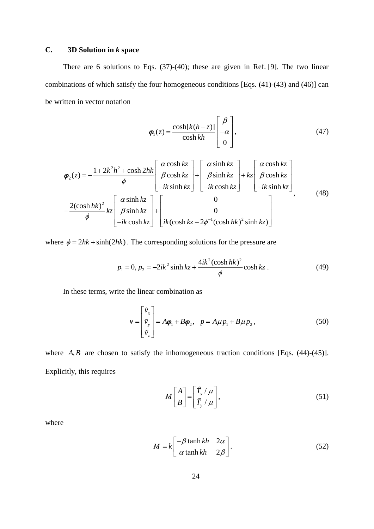# **C. 3D Solution in** *k* **space**

There are 6 solutions to Eqs. (37)-(40); these are given in Ref. [9]. The two linear combinations of which satisfy the four homogeneous conditions [Eqs. (41)-(43) and (46)] can be written in vector notation

$$
\varphi_1(z) = \frac{\cosh[k(h-z)]}{\cosh kh} \begin{bmatrix} \beta \\ -\alpha \\ 0 \end{bmatrix},
$$
\n(47)\n
$$
\iint_{0}^{R} \alpha \cosh kz \quad \left[ \alpha \sinh kz \right] \quad \left[ \alpha \cosh kz \right]
$$

$$
\varphi_{2}(z) = -\frac{1 + 2k^{2}h^{2} + \cosh 2hk}{\phi} \left[ \begin{array}{c} \alpha \cosh kz \\ \beta \cosh kz \\ -ik \sinh kz \end{array} \right] + \left[ \begin{array}{c} \alpha \sinh kz \\ \beta \sinh kz \\ -ik \cosh kz \end{array} \right] + kz \left[ \begin{array}{c} \alpha \cosh kz \\ \beta \cosh kz \\ -ik \cosh kz \end{array} \right] -i k \sinh kz
$$
\n
$$
-\frac{2(\cosh hk)^{2}}{\phi} k z \left[ \begin{array}{c} \alpha \sinh kz \\ \beta \sinh kz \\ -ik \cosh kz \end{array} \right] + \left[ \begin{array}{c} 0 \\ 0 \\ 0 \end{array} \right]
$$
\n
$$
(48)
$$

where  $\phi = 2hk + \sinh(2hk)$ . The corresponding solutions for the pressure are

$$
p_1 = 0, p_2 = -2ik^2 \sinh kz + \frac{4ik^2(\cosh hk)^2}{\phi} \cosh kz \tag{49}
$$

In these terms, write the linear combination as

$$
\boldsymbol{v} = \begin{bmatrix} \tilde{v}_x \\ \tilde{v}_y \\ \tilde{v}_z \end{bmatrix} = A\boldsymbol{\varphi}_1 + B\boldsymbol{\varphi}_2, \quad p = A\mu p_1 + B\mu p_2, \tag{50}
$$

where  $A, B$  are chosen to satisfy the inhomogeneous traction conditions [Eqs.  $(44)-(45)$ ]. Explicitly, this requires

$$
M\begin{bmatrix} A \\ B \end{bmatrix} = \begin{bmatrix} \tilde{T}_x / \mu \\ \tilde{T}_y / \mu \end{bmatrix},
$$
\n(51)

where

$$
M = k \begin{bmatrix} -\beta \tanh kh & 2\alpha \\ \alpha \tanh kh & 2\beta \end{bmatrix}.
$$
 (52)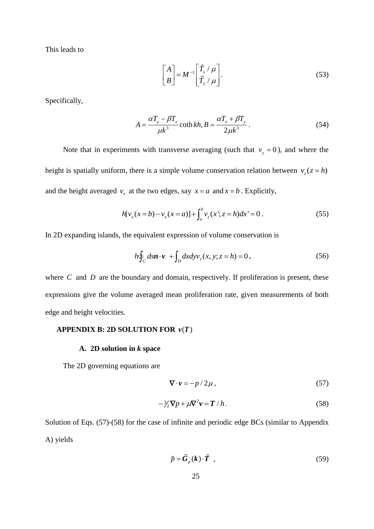This leads to

$$
\begin{bmatrix} A \\ B \end{bmatrix} = M^{-1} \begin{bmatrix} \tilde{T}_x / \mu \\ \tilde{T}_y / \mu \end{bmatrix}.
$$
 (53)

Specifically,

$$
A = \frac{\alpha T_y - \beta T_x}{\mu k^3} \coth kh, B = \frac{\alpha T_x + \beta T_y}{2\mu k^3}.
$$
 (54)

Note that in experiments with transverse averaging (such that  $v_y = 0$ ), and where the height is spatially uniform, there is a simple volume conservation relation between  $v_z(z = h)$ and the height averaged  $v_x$  at the two edges, say  $x = a$  and  $x = b$ . Explicitly,

$$
h[v_x(x=b)-v_x(x=a)]+\int_a^b v_z(x^*;z=h)dx'=0.
$$
 (55)

In 2D expanding islands, the equivalent expression of volume conservation is

$$
h\oint_C ds \mathbf{n} \cdot \mathbf{v} + \int_D dx dy v_z(x, y; z = h) = 0,
$$
\n(56)

where  $C$  and  $D$  are the boundary and domain, respectively. If proliferation is present, these expressions give the volume averaged mean proliferation rate, given measurements of both edge and height velocities.

### **APPENDIX B: 2D SOLUTION FOR**  $v(T)$

### **A. 2D solution in** *k* **space**

The 2D governing equations are

$$
\nabla \cdot \mathbf{v} = -p/2\mu \,,\tag{57}
$$

$$
-\frac{3}{2}\nabla p + \mu \nabla^2 \mathbf{v} = \mathbf{T} / h. \tag{58}
$$

Solution of Eqs. (57)-(58) for the case of infinite and periodic edge BCs (similar to Appendix A) yields

$$
\tilde{p} = \tilde{G}_p(k) \cdot \tilde{T} \quad , \tag{59}
$$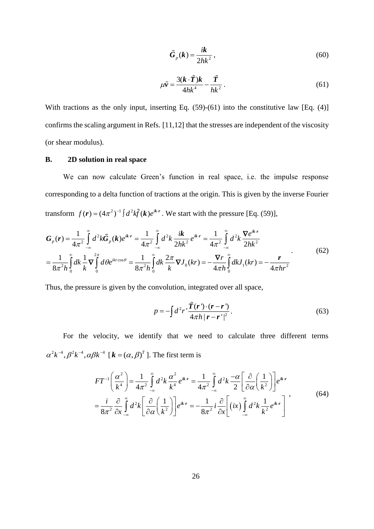$$
\tilde{G}_p(k) = \frac{ik}{2hk^2},\tag{60}
$$

$$
\mu \tilde{v} = \frac{3(k \cdot \tilde{T})k}{4hk^4} - \frac{\tilde{T}}{hk^2} \,. \tag{61}
$$

With tractions as the only input, inserting Eq. (59)-(61) into the constitutive law [Eq. (4)] confirms the scaling argument in Refs. [11,12] that the stresses are independent of the viscosity (or shear modulus).

## **B. 2D solution in real space**

We can now calculate Green's function in real space, i.e. the impulse response corresponding to a delta function of tractions at the origin. This is given by the inverse Fourier transform  $f(\mathbf{r}) = (4\pi^2)^{-1} \int d^2k \tilde{f}(\mathbf{k}) e^{ik\mathbf{r}}$ . We start with the pressure [Eq. (59)],

$$
G_{p}(r) = \frac{1}{4\pi^{2}} \int_{-\infty}^{\infty} d^{2}k \tilde{G}_{p}(k)e^{ikr} = \frac{1}{4\pi^{2}} \int_{-\infty}^{\infty} d^{2}k \frac{ik}{2hk^{2}} e^{ikr} = \frac{1}{4\pi^{2}} \int_{-\infty}^{\infty} d^{2}k \frac{\nabla e^{ikr}}{2hk^{2}}
$$

$$
= \frac{1}{8\pi^{2}h} \int_{0}^{\infty} dk \frac{1}{k} \nabla \int_{0}^{2\pi} d\theta e^{ikr\cos\theta} = \frac{1}{8\pi^{2}h} \int_{0}^{\infty} dk \frac{2\pi}{k} \nabla J_{0}(kr) = -\frac{\nabla r}{4\pi h} \int_{0}^{\infty} dk J_{1}(kr) = -\frac{r}{4\pi hr^{2}}
$$
(62)

Thus, the pressure is given by the convolution, integrated over all space,

$$
p = -\int d^2 r \frac{\tilde{T}(r) \cdot (r - r')}{4\pi h |r - r'|^2}.
$$
\n(63)

For the velocity, we identify that we need to calculate three different terms  $\alpha^2 k^{-4}$ ,  $\beta^2 k^{-4}$ ,  $\alpha \beta k^{-4}$  [ $\mathbf{k} = (\alpha, \beta)^T$ ]. The first term is<br> $FT^{-1} \left( \frac{\alpha^2}{4} \right) = \frac{1}{\alpha^2 k^2} \int_0^{\infty} d^2 k \frac{\alpha^2}{4} e^{ikr} = \frac{1}{\alpha^2 k^2} \int_0^{\infty} d^2 k \frac{-\alpha}{4} \left[ \frac{\partial}{\partial \alpha^2} \left( \frac{1}{\alpha^2} \right) \right]$ 

$$
6k^{-4} \left[ \mathbf{k} = (\alpha, \beta)^T \right].
$$
 The first term is  
\n
$$
FT^{-1} \left( \frac{\alpha^2}{k^4} \right) = \frac{1}{4\pi^2} \int_{-\infty}^{\infty} d^2k \frac{\alpha^2}{k^4} e^{ik \cdot r} = \frac{1}{4\pi^2} \int_{-\infty}^{\infty} d^2k \frac{-\alpha}{2} \left[ \frac{\partial}{\partial \alpha} \left( \frac{1}{k^2} \right) \right] e^{ik \cdot r}
$$
\n
$$
= \frac{i}{8\pi^2} \frac{\partial}{\partial x} \int_{-\infty}^{\infty} d^2k \left[ \frac{\partial}{\partial \alpha} \left( \frac{1}{k^2} \right) \right] e^{ik \cdot r} = -\frac{1}{8\pi^2} i \frac{\partial}{\partial x} \left[ \left( ix \right) \int_{-\infty}^{\infty} d^2k \frac{1}{k^2} e^{ik \cdot r} \right] ,
$$
\n(64)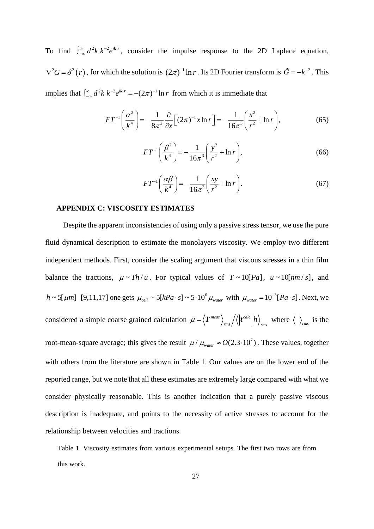To find  $\int_{-\infty}^{\infty} d^2k \, k^{-2} e^{i}$  $\int_{-\infty}^{\infty} d^2k k^{-2} e^{ikr}$ , consider the impulse response to the 2D Laplace equation,  $\nabla^2 G = \delta^2(r)$ , for which the solution is  $(2\pi)^{-1} \ln r$ . Its 2D Fourier transform is  $\tilde{G} = -k^{-2}$ . This implies that  $\int_{-\infty}^{\infty} d^2k k^{-2} e^{ikr} = -(2\pi)^{-1} \ln r$  from which it is immediate that

$$
FT^{-1}\left(\frac{\alpha^2}{k^4}\right) = -\frac{1}{8\pi^2} \frac{\partial}{\partial x} \Big[ (2\pi)^{-1} x \ln r \Big] = -\frac{1}{16\pi^3} \left( \frac{x^2}{r^2} + \ln r \right),\tag{65}
$$

$$
FT^{-1}\left(\frac{\beta^2}{k^4}\right) = -\frac{1}{16\pi^3} \left(\frac{y^2}{r^2} + \ln r\right),\tag{66}
$$

$$
FT^{-1}\left(\frac{\alpha\beta}{k^4}\right) = -\frac{1}{16\pi^3}\left(\frac{xy}{r^2} + \ln r\right). \tag{67}
$$

#### **APPENDIX C: VISCOSITY ESTIMATES**

Despite the apparent inconsistencies of using only a passive stress tensor, we use the pure fluid dynamical description to estimate the monolayers viscosity. We employ two different independent methods. First, consider the scaling argument that viscous stresses in a thin film balance the tractions,  $\mu \sim Th/u$ . For typical values of  $T \sim 10[Pa]$ ,  $u \sim 10[m n/s]$ , and  $h \sim 5[\mu m]$  [9,11,17] one gets  $\mu_{cell} \sim 5[kPa \cdot s] \sim 5.10^6 \mu_{water}$  with  $\mu_{water} = 10^{-3}[Pa \cdot s]$ . Next, we considered a simple coarse grained calculation  $\mu = \langle T^{meas} \rangle$  / $\langle \mid t^{calc} \rangle$  $\mu = \langle T^{meas} \rangle_{rms} / \langle |t^{calc} | h \rangle_{rms}$  where  $\langle \rangle_{rms}$  is the root-mean-square average; this gives the result  $\mu / \mu_{\text{water}} \approx O(2.3 \cdot 10^7)$ . These values, together with others from the literature are shown in [Table 1.](#page-26-0) Our values are on the lower end of the reported range, but we note that all these estimates are extremely large compared with what we consider physically reasonable. This is another indication that a purely passive viscous description is inadequate, and points to the necessity of active stresses to account for the relationship between velocities and tractions.

<span id="page-26-0"></span>Table 1. Viscosity estimates from various experimental setups. The first two rows are from this work.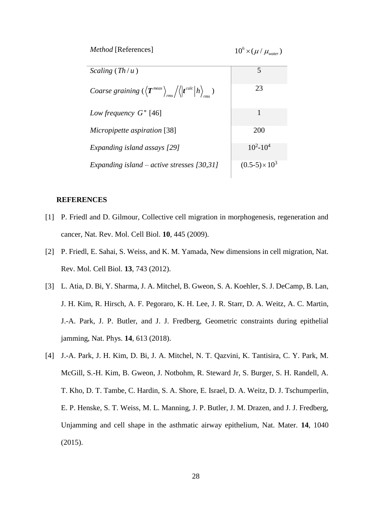| <i>Method</i> [References]                                                                    | $10^6 \times (\mu/\mu_{water})$ |
|-----------------------------------------------------------------------------------------------|---------------------------------|
| Scaling $(Th/u)$                                                                              | 5                               |
| <i>Coarse graining</i> $(\langle T^{meas} \rangle_{rms}/\langle  t^{calc}   h \rangle_{rms})$ | 23                              |
| Low frequency $G''$ [46]                                                                      | 1                               |
| Micropipette aspiration [38]                                                                  | 200                             |
| Expanding island assays [29]                                                                  | $10^2 - 10^4$                   |
| Expanding island – active stresses $[30,31]$                                                  | $(0.5-5) \times 10^3$           |

### **REFERENCES**

- [1] P. Friedl and D. Gilmour, Collective cell migration in morphogenesis, regeneration and cancer, Nat. Rev. Mol. Cell Biol. **10**, 445 (2009).
- [2] P. Friedl, E. Sahai, S. Weiss, and K. M. Yamada, New dimensions in cell migration, Nat. Rev. Mol. Cell Biol. **13**, 743 (2012).
- [3] L. Atia, D. Bi, Y. Sharma, J. A. Mitchel, B. Gweon, S. A. Koehler, S. J. DeCamp, B. Lan, J. H. Kim, R. Hirsch, A. F. Pegoraro, K. H. Lee, J. R. Starr, D. A. Weitz, A. C. Martin, J.-A. Park, J. P. Butler, and J. J. Fredberg, Geometric constraints during epithelial jamming, Nat. Phys. **14**, 613 (2018).
- [4] J.-A. Park, J. H. Kim, D. Bi, J. A. Mitchel, N. T. Qazvini, K. Tantisira, C. Y. Park, M. McGill, S.-H. Kim, B. Gweon, J. Notbohm, R. Steward Jr, S. Burger, S. H. Randell, A. T. Kho, D. T. Tambe, C. Hardin, S. A. Shore, E. Israel, D. A. Weitz, D. J. Tschumperlin, E. P. Henske, S. T. Weiss, M. L. Manning, J. P. Butler, J. M. Drazen, and J. J. Fredberg, Unjamming and cell shape in the asthmatic airway epithelium, Nat. Mater. **14**, 1040 (2015).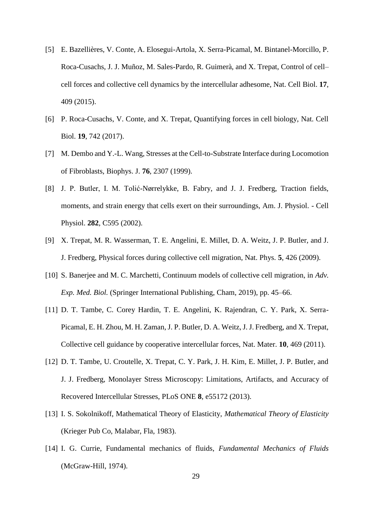- [5] E. Bazellières, V. Conte, A. Elosegui-Artola, X. Serra-Picamal, M. Bintanel-Morcillo, P. Roca-Cusachs, J. J. Muñoz, M. Sales-Pardo, R. Guimerà, and X. Trepat, Control of cell– cell forces and collective cell dynamics by the intercellular adhesome, Nat. Cell Biol. **17**, 409 (2015).
- [6] P. Roca-Cusachs, V. Conte, and X. Trepat, Quantifying forces in cell biology, Nat. Cell Biol. **19**, 742 (2017).
- [7] M. Dembo and Y.-L. Wang, Stresses at the Cell-to-Substrate Interface during Locomotion of Fibroblasts, Biophys. J. **76**, 2307 (1999).
- [8] J. P. Butler, I. M. Tolić-Nørrelykke, B. Fabry, and J. J. Fredberg, Traction fields, moments, and strain energy that cells exert on their surroundings, Am. J. Physiol. - Cell Physiol. **282**, C595 (2002).
- [9] X. Trepat, M. R. Wasserman, T. E. Angelini, E. Millet, D. A. Weitz, J. P. Butler, and J. J. Fredberg, Physical forces during collective cell migration, Nat. Phys. **5**, 426 (2009).
- [10] S. Banerjee and M. C. Marchetti, Continuum models of collective cell migration, in *Adv. Exp. Med. Biol.* (Springer International Publishing, Cham, 2019), pp. 45–66.
- [11] D. T. Tambe, C. Corey Hardin, T. E. Angelini, K. Rajendran, C. Y. Park, X. Serra-Picamal, E. H. Zhou, M. H. Zaman, J. P. Butler, D. A. Weitz, J. J. Fredberg, and X. Trepat, Collective cell guidance by cooperative intercellular forces, Nat. Mater. **10**, 469 (2011).
- [12] D. T. Tambe, U. Croutelle, X. Trepat, C. Y. Park, J. H. Kim, E. Millet, J. P. Butler, and J. J. Fredberg, Monolayer Stress Microscopy: Limitations, Artifacts, and Accuracy of Recovered Intercellular Stresses, PLoS ONE **8**, e55172 (2013).
- [13] I. S. Sokolnikoff, Mathematical Theory of Elasticity, *Mathematical Theory of Elasticity* (Krieger Pub Co, Malabar, Fla, 1983).
- [14] I. G. Currie, Fundamental mechanics of fluids, *Fundamental Mechanics of Fluids* (McGraw-Hill, 1974).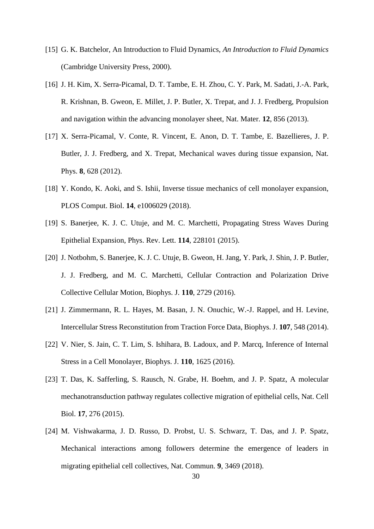- [15] G. K. Batchelor, An Introduction to Fluid Dynamics, *An Introduction to Fluid Dynamics* (Cambridge University Press, 2000).
- [16] J. H. Kim, X. Serra-Picamal, D. T. Tambe, E. H. Zhou, C. Y. Park, M. Sadati, J.-A. Park, R. Krishnan, B. Gweon, E. Millet, J. P. Butler, X. Trepat, and J. J. Fredberg, Propulsion and navigation within the advancing monolayer sheet, Nat. Mater. **12**, 856 (2013).
- [17] X. Serra-Picamal, V. Conte, R. Vincent, E. Anon, D. T. Tambe, E. Bazellieres, J. P. Butler, J. J. Fredberg, and X. Trepat, Mechanical waves during tissue expansion, Nat. Phys. **8**, 628 (2012).
- [18] Y. Kondo, K. Aoki, and S. Ishii, Inverse tissue mechanics of cell monolayer expansion, PLOS Comput. Biol. **14**, e1006029 (2018).
- [19] S. Banerjee, K. J. C. Utuje, and M. C. Marchetti, Propagating Stress Waves During Epithelial Expansion, Phys. Rev. Lett. **114**, 228101 (2015).
- [20] J. Notbohm, S. Banerjee, K. J. C. Utuje, B. Gweon, H. Jang, Y. Park, J. Shin, J. P. Butler, J. J. Fredberg, and M. C. Marchetti, Cellular Contraction and Polarization Drive Collective Cellular Motion, Biophys. J. **110**, 2729 (2016).
- [21] J. Zimmermann, R. L. Hayes, M. Basan, J. N. Onuchic, W.-J. Rappel, and H. Levine, Intercellular Stress Reconstitution from Traction Force Data, Biophys. J. **107**, 548 (2014).
- [22] V. Nier, S. Jain, C. T. Lim, S. Ishihara, B. Ladoux, and P. Marcq, Inference of Internal Stress in a Cell Monolayer, Biophys. J. **110**, 1625 (2016).
- [23] T. Das, K. Safferling, S. Rausch, N. Grabe, H. Boehm, and J. P. Spatz, A molecular mechanotransduction pathway regulates collective migration of epithelial cells, Nat. Cell Biol. **17**, 276 (2015).
- [24] M. Vishwakarma, J. D. Russo, D. Probst, U. S. Schwarz, T. Das, and J. P. Spatz, Mechanical interactions among followers determine the emergence of leaders in migrating epithelial cell collectives, Nat. Commun. **9**, 3469 (2018).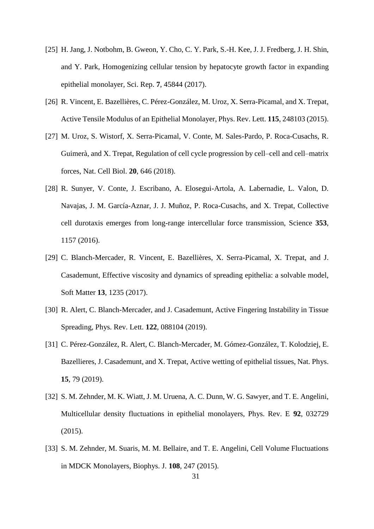- [25] H. Jang, J. Notbohm, B. Gweon, Y. Cho, C. Y. Park, S.-H. Kee, J. J. Fredberg, J. H. Shin, and Y. Park, Homogenizing cellular tension by hepatocyte growth factor in expanding epithelial monolayer, Sci. Rep. **7**, 45844 (2017).
- [26] R. Vincent, E. Bazellières, C. Pérez-González, M. Uroz, X. Serra-Picamal, and X. Trepat, Active Tensile Modulus of an Epithelial Monolayer, Phys. Rev. Lett. **115**, 248103 (2015).
- [27] M. Uroz, S. Wistorf, X. Serra-Picamal, V. Conte, M. Sales-Pardo, P. Roca-Cusachs, R. Guimerà, and X. Trepat, Regulation of cell cycle progression by cell–cell and cell–matrix forces, Nat. Cell Biol. **20**, 646 (2018).
- [28] R. Sunyer, V. Conte, J. Escribano, A. Elosegui-Artola, A. Labernadie, L. Valon, D. Navajas, J. M. García-Aznar, J. J. Muñoz, P. Roca-Cusachs, and X. Trepat, Collective cell durotaxis emerges from long-range intercellular force transmission, Science **353**, 1157 (2016).
- [29] C. Blanch-Mercader, R. Vincent, E. Bazellières, X. Serra-Picamal, X. Trepat, and J. Casademunt, Effective viscosity and dynamics of spreading epithelia: a solvable model, Soft Matter **13**, 1235 (2017).
- [30] R. Alert, C. Blanch-Mercader, and J. Casademunt, Active Fingering Instability in Tissue Spreading, Phys. Rev. Lett. **122**, 088104 (2019).
- [31] C. Pérez-González, R. Alert, C. Blanch-Mercader, M. Gómez-González, T. Kolodziej, E. Bazellieres, J. Casademunt, and X. Trepat, Active wetting of epithelial tissues, Nat. Phys. **15**, 79 (2019).
- [32] S. M. Zehnder, M. K. Wiatt, J. M. Uruena, A. C. Dunn, W. G. Sawyer, and T. E. Angelini, Multicellular density fluctuations in epithelial monolayers, Phys. Rev. E **92**, 032729 (2015).
- [33] S. M. Zehnder, M. Suaris, M. M. Bellaire, and T. E. Angelini, Cell Volume Fluctuations in MDCK Monolayers, Biophys. J. **108**, 247 (2015).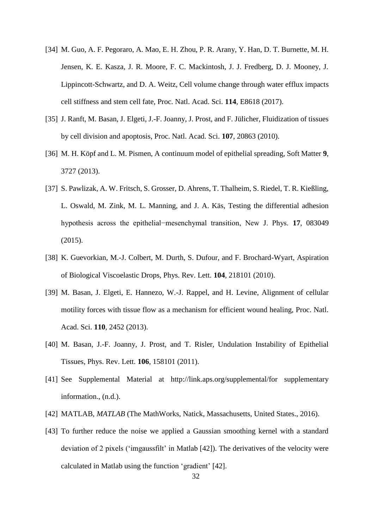- [34] M. Guo, A. F. Pegoraro, A. Mao, E. H. Zhou, P. R. Arany, Y. Han, D. T. Burnette, M. H. Jensen, K. E. Kasza, J. R. Moore, F. C. Mackintosh, J. J. Fredberg, D. J. Mooney, J. Lippincott-Schwartz, and D. A. Weitz, Cell volume change through water efflux impacts cell stiffness and stem cell fate, Proc. Natl. Acad. Sci. **114**, E8618 (2017).
- [35] J. Ranft, M. Basan, J. Elgeti, J.-F. Joanny, J. Prost, and F. Jülicher, Fluidization of tissues by cell division and apoptosis, Proc. Natl. Acad. Sci. **107**, 20863 (2010).
- [36] M. H. Köpf and L. M. Pismen, A continuum model of epithelial spreading, Soft Matter **9**, 3727 (2013).
- [37] S. Pawlizak, A. W. Fritsch, S. Grosser, D. Ahrens, T. Thalheim, S. Riedel, T. R. Kießling, L. Oswald, M. Zink, M. L. Manning, and J. A. Käs, Testing the differential adhesion hypothesis across the epithelial−mesenchymal transition, New J. Phys. **17**, 083049 (2015).
- [38] K. Guevorkian, M.-J. Colbert, M. Durth, S. Dufour, and F. Brochard-Wyart, Aspiration of Biological Viscoelastic Drops, Phys. Rev. Lett. **104**, 218101 (2010).
- [39] M. Basan, J. Elgeti, E. Hannezo, W.-J. Rappel, and H. Levine, Alignment of cellular motility forces with tissue flow as a mechanism for efficient wound healing, Proc. Natl. Acad. Sci. **110**, 2452 (2013).
- [40] M. Basan, J.-F. Joanny, J. Prost, and T. Risler, Undulation Instability of Epithelial Tissues, Phys. Rev. Lett. **106**, 158101 (2011).
- [41] See Supplemental Material at http://link.aps.org/supplemental/for supplementary information., (n.d.).
- [42] MATLAB, *MATLAB* (The MathWorks, Natick, Massachusetts, United States., 2016).
- [43] To further reduce the noise we applied a Gaussian smoothing kernel with a standard deviation of 2 pixels ('imgaussfilt' in Matlab [42]). The derivatives of the velocity were calculated in Matlab using the function 'gradient' [42].